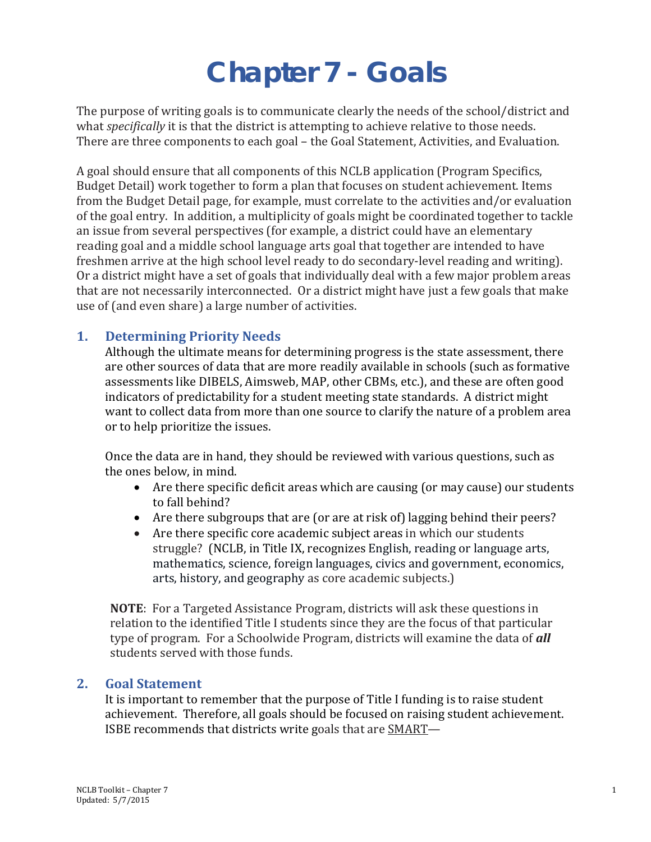# **Chapter 7 - Goals**

The purpose of writing goals is to communicate clearly the needs of the school/district and what *specifically* it is that the district is attempting to achieve relative to those needs. There are three components to each goal – the Goal Statement, Activities, and Evaluation.

A goal should ensure that all components of this NCLB application (Program Specifics, Budget Detail) work together to form a plan that focuses on student achievement. Items from the Budget Detail page, for example, must correlate to the activities and/or evaluation of the goal entry. In addition, a multiplicity of goals might be coordinated together to tackle an issue from several perspectives (for example, a district could have an elementary reading goal and a middle school language arts goal that together are intended to have freshmen arrive at the high school level ready to do secondary-level reading and writing). Or a district might have a set of goals that individually deal with a few major problem areas that are not necessarily interconnected. Or a district might have just a few goals that make use of (and even share) a large number of activities.

## **1. Determining Priority Needs**

Although the ultimate means for determining progress is the state assessment, there are other sources of data that are more readily available in schools (such as formative assessments like DIBELS, Aimsweb, MAP, other CBMs, etc.), and these are often good indicators of predictability for a student meeting state standards. A district might want to collect data from more than one source to clarify the nature of a problem area or to help prioritize the issues.

Once the data are in hand, they should be reviewed with various questions, such as the ones below, in mind.

- Are there specific deficit areas which are causing (or may cause) our students to fall behind?
- Are there subgroups that are (or are at risk of) lagging behind their peers?
- Are there specific core academic subject areas in which our students struggle? (NCLB, in Title IX, recognizes English, reading or language arts, mathematics, science, foreign languages, civics and government, economics, arts, history, and geography as core academic subjects.)

**NOTE**: For a Targeted Assistance Program, districts will ask these questions in relation to the identified Title I students since they are the focus of that particular type of program. For a Schoolwide Program, districts will examine the data of *all* students served with those funds.

## **2. Goal Statement**

It is important to remember that the purpose of Title I funding is to raise student achievement. Therefore, all goals should be focused on raising student achievement. ISBE recommends that districts write goals that are SMART—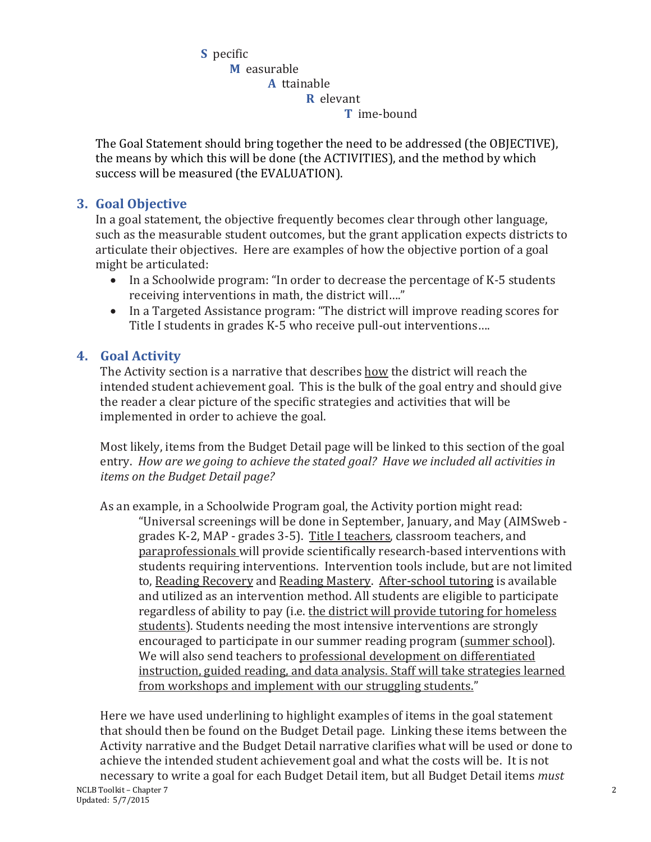**S** pecific **M** easurable **A** ttainable **R** elevant **T** ime-bound

The Goal Statement should bring together the need to be addressed (the OBJECTIVE), the means by which this will be done (the ACTIVITIES), and the method by which success will be measured (the EVALUATION).

## **3. Goal Objective**

In a goal statement, the objective frequently becomes clear through other language, such as the measurable student outcomes, but the grant application expects districts to articulate their objectives. Here are examples of how the objective portion of a goal might be articulated:

- In a Schoolwide program: "In order to decrease the percentage of K-5 students receiving interventions in math, the district will…."
- In a Targeted Assistance program: "The district will improve reading scores for Title I students in grades K-5 who receive pull-out interventions….

## **4. Goal Activity**

The Activity section is a narrative that describes how the district will reach the intended student achievement goal. This is the bulk of the goal entry and should give the reader a clear picture of the specific strategies and activities that will be implemented in order to achieve the goal.

Most likely, items from the Budget Detail page will be linked to this section of the goal entry. *How are we going to achieve the stated goal? Have we included all activities in items on the Budget Detail page?*

As an example, in a Schoolwide Program goal, the Activity portion might read: "Universal screenings will be done in September, January, and May (AIMSweb grades K-2, MAP - grades 3-5). Title I teachers, classroom teachers, and paraprofessionals will provide scientifically research-based interventions with students requiring interventions. Intervention tools include, but are not limited to, Reading Recovery and Reading Mastery. After-school tutoring is available and utilized as an intervention method. All students are eligible to participate regardless of ability to pay (i.e. the district will provide tutoring for homeless students). Students needing the most intensive interventions are strongly encouraged to participate in our summer reading program (summer school). We will also send teachers to professional development on differentiated instruction, guided reading, and data analysis. Staff will take strategies learned from workshops and implement with our struggling students."

Here we have used underlining to highlight examples of items in the goal statement that should then be found on the Budget Detail page. Linking these items between the Activity narrative and the Budget Detail narrative clarifies what will be used or done to achieve the intended student achievement goal and what the costs will be. It is not necessary to write a goal for each Budget Detail item, but all Budget Detail items *must*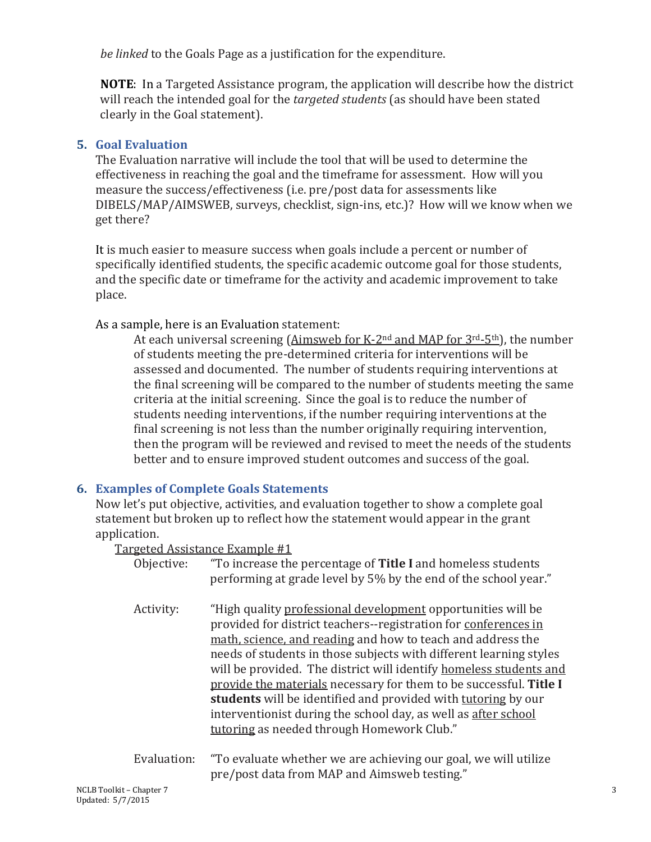*be linked* to the Goals Page as a justification for the expenditure.

**NOTE**: In a Targeted Assistance program, the application will describe how the district will reach the intended goal for the *targeted students* (as should have been stated clearly in the Goal statement).

#### **5. Goal Evaluation**

The Evaluation narrative will include the tool that will be used to determine the effectiveness in reaching the goal and the timeframe for assessment. How will you measure the success/effectiveness (i.e. pre/post data for assessments like DIBELS/MAP/AIMSWEB, surveys, checklist, sign-ins, etc.)? How will we know when we get there?

It is much easier to measure success when goals include a percent or number of specifically identified students, the specific academic outcome goal for those students, and the specific date or timeframe for the activity and academic improvement to take place.

As a sample, here is an Evaluation statement:

At each universal screening (Aimsweb for K-2nd and MAP for 3rd-5th), the number of students meeting the pre-determined criteria for interventions will be assessed and documented. The number of students requiring interventions at the final screening will be compared to the number of students meeting the same criteria at the initial screening. Since the goal is to reduce the number of students needing interventions, if the number requiring interventions at the final screening is not less than the number originally requiring intervention, then the program will be reviewed and revised to meet the needs of the students better and to ensure improved student outcomes and success of the goal.

## **6. Examples of Complete Goals Statements**

Now let's put objective, activities, and evaluation together to show a complete goal statement but broken up to reflect how the statement would appear in the grant application.

Targeted Assistance Example #1

|             | $S0$ and $I0$ and $I0$ and $I1$ and $I0$ and $I1$ and $I0$ and $I1$ and $I0$ and $I0$ and $I0$ and $I0$ and $I0$ and $I0$ and $I0$ |
|-------------|------------------------------------------------------------------------------------------------------------------------------------|
| Objective:  | "To increase the percentage of Title I and homeless students                                                                       |
|             | performing at grade level by 5% by the end of the school year."                                                                    |
|             |                                                                                                                                    |
| Activity:   | "High quality professional development opportunities will be                                                                       |
|             | provided for district teachers--registration for conferences in                                                                    |
|             | math, science, and reading and how to teach and address the                                                                        |
|             | needs of students in those subjects with different learning styles                                                                 |
|             | will be provided. The district will identify homeless students and                                                                 |
|             | provide the materials necessary for them to be successful. Title I                                                                 |
|             | students will be identified and provided with tutoring by our                                                                      |
|             | interventionist during the school day, as well as after school                                                                     |
|             | tutoring as needed through Homework Club."                                                                                         |
|             |                                                                                                                                    |
| Evaluation: | "To evaluate whether we are achieving our goal, we will utilize                                                                    |
|             |                                                                                                                                    |
|             | pre/post data from MAP and Aimsweb testing."                                                                                       |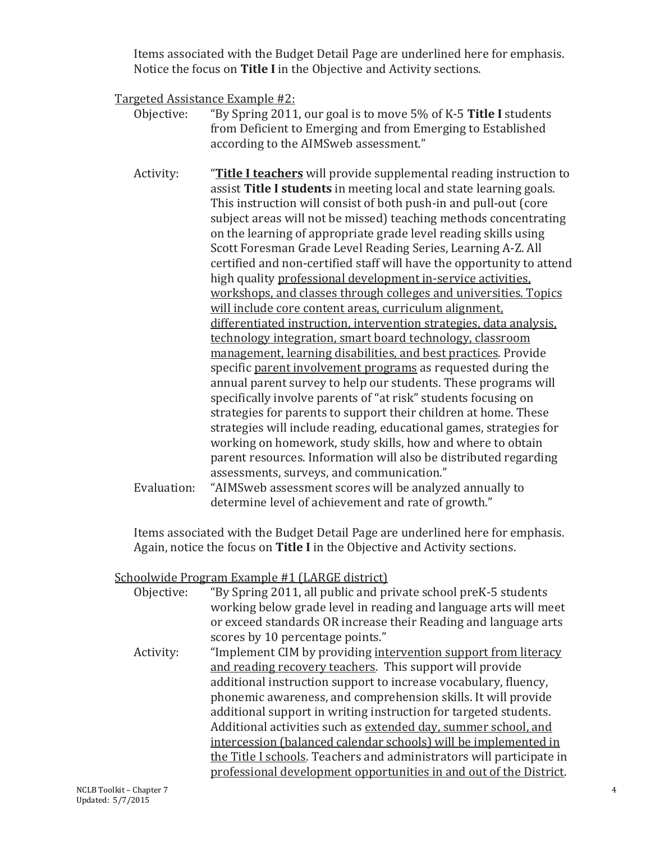Items associated with the Budget Detail Page are underlined here for emphasis. Notice the focus on **Title I** in the Objective and Activity sections.

Targeted Assistance Example #2:<br>Objective: "By Spring 2011

- "By Spring 2011, our goal is to move 5% of K-5 **Title I** students from Deficient to Emerging and from Emerging to Established according to the AIMSweb assessment."
- Activity: "**Title I teachers** will provide supplemental reading instruction to assist **Title I students** in meeting local and state learning goals. This instruction will consist of both push-in and pull-out (core subject areas will not be missed) teaching methods concentrating on the learning of appropriate grade level reading skills using Scott Foresman Grade Level Reading Series, Learning A-Z. All certified and non-certified staff will have the opportunity to attend high quality professional development in-service activities, workshops, and classes through colleges and universities. Topics will include core content areas, curriculum alignment, differentiated instruction, intervention strategies, data analysis, technology integration, smart board technology, classroom management, learning disabilities, and best practices. Provide specific parent involvement programs as requested during the annual parent survey to help our students. These programs will specifically involve parents of "at risk" students focusing on strategies for parents to support their children at home. These strategies will include reading, educational games, strategies for working on homework, study skills, how and where to obtain parent resources. Information will also be distributed regarding assessments, surveys, and communication."
- Evaluation: "AIMSweb assessment scores will be analyzed annually to determine level of achievement and rate of growth."

Items associated with the Budget Detail Page are underlined here for emphasis. Again, notice the focus on **Title I** in the Objective and Activity sections.

## Schoolwide Program Example #1 (LARGE district)

| Objective: | "By Spring 2011, all public and private school preK-5 students       |
|------------|----------------------------------------------------------------------|
|            | working below grade level in reading and language arts will meet     |
|            | or exceed standards OR increase their Reading and language arts      |
|            | scores by 10 percentage points."                                     |
| Activity:  | "Implement CIM by providing intervention support from literacy       |
|            | and reading recovery teachers. This support will provide             |
|            | additional instruction support to increase vocabulary, fluency,      |
|            | phonemic awareness, and comprehension skills. It will provide        |
|            | additional support in writing instruction for targeted students.     |
|            | Additional activities such as extended day, summer school, and       |
|            | intercession (balanced calendar schools) will be implemented in      |
|            | the Title I schools. Teachers and administrators will participate in |
|            | professional development opportunities in and out of the District.   |
|            |                                                                      |